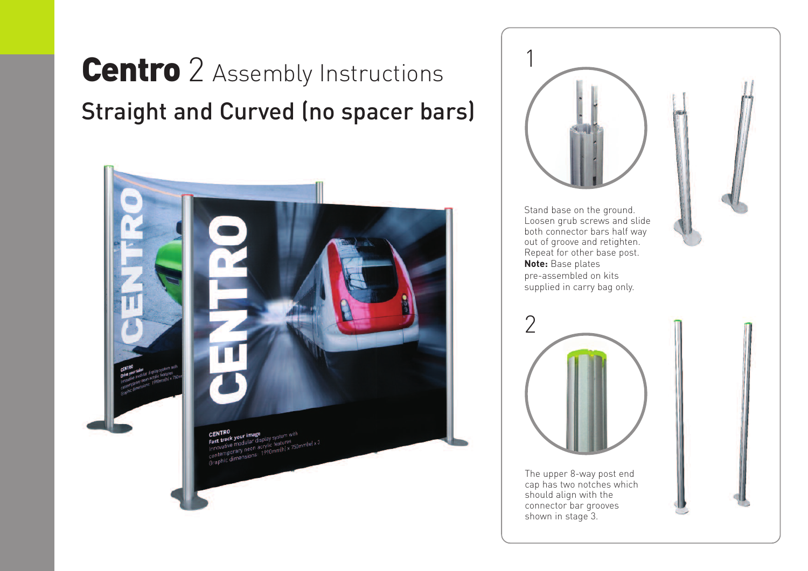## **Centro** 2 Assembly Instructions Straight and Curved (no spacer bars)





Stand base on the ground. Loosen grub screws and slide both connector bars half way out of groove and retighten. Repeat for other base post. **Note:** Base plates pre-assembled on kits supplied in carry bag only.



The upper 8-way post end cap has two notches which should align with the connector bar grooves shown in stage 3.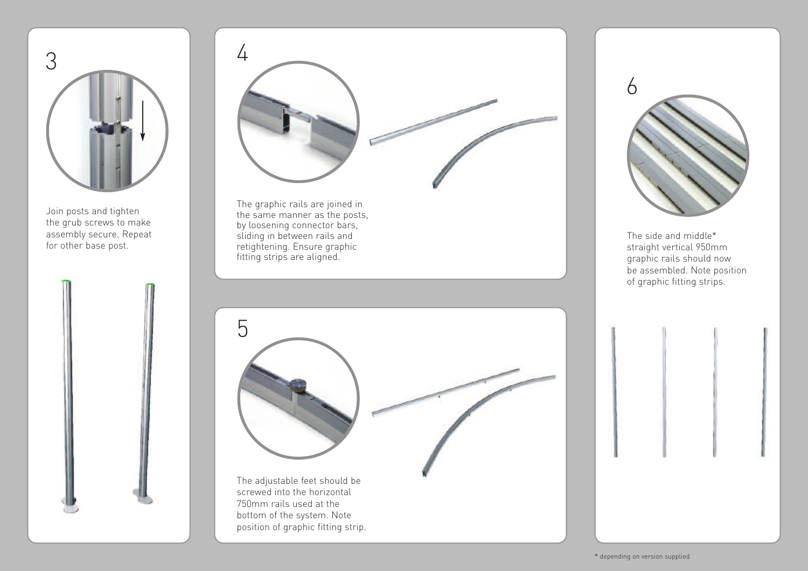

Join posts and tighten the grub screws to make assembly secure. Repeat for other base post.





The graphic rails are joined in the same manner as the posts, by loosening connector bars, sliding in between rails and retightening. Ensure graphic fitting strips are aligned.





The side and middle\* straight vertical 950mm graphic rails should now be assembled. Note position of graphic fitting strips.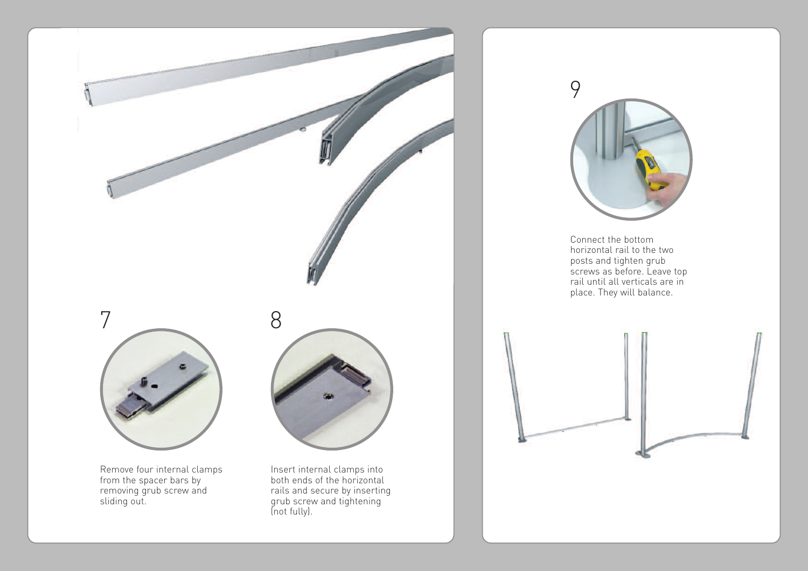



Connect the bottom horizontal rail to the two posts and tighten grub screws as before. Leave top rail until all verticals are in place. They will balance.